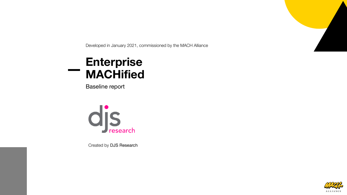

Developed in January 2021, commissioned by the MACH Alliance

#### **Enterprise MACHified**

Baseline report



Created by DJS Research

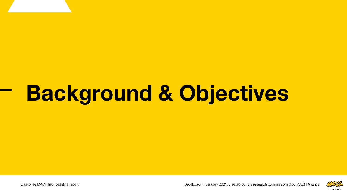## **Background & Objectives**

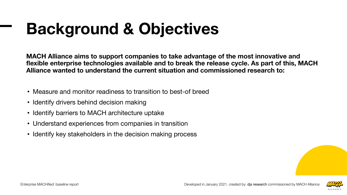### **Background & Objectives**

**MACH Alliance aims to support companies to take advantage of the most innovative and flexible enterprise technologies available and to break the release cycle. As part of this, MACH Alliance wanted to understand the current situation and commissioned research to:**

- Measure and monitor readiness to transition to best-of breed
- Identify drivers behind decision making
- Identify barriers to MACH architecture uptake
- Understand experiences from companies in transition
- Identify key stakeholders in the decision making process

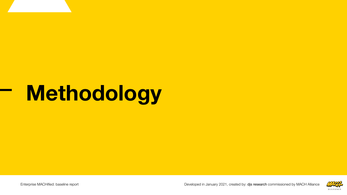## **Methodology**

Enterprise MACHified: baseline report **02/2021** Developed in January 2021, created by: djs research commissioned by MACH Alliance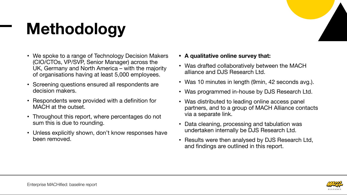## **Methodology**

- We spoke to a range of Technology Decision Makers (CIO/CTOs, VP/SVP, Senior Manager) across the UK, Germany and North America – with the majority of organisations having at least 5,000 employees.
- Screening questions ensured all respondents are decision makers.
- Respondents were provided with a definition for MACH at the outset.
- Throughout this report, where percentages do not sum this is due to rounding.
- Unless explicitly shown, don't know responses have been removed.
- **• A qualitative online survey that:**
- Was drafted collaboratively between the MACH alliance and DJS Research Ltd.
- Was 10 minutes in length (9min, 42 seconds avg.).
- Was programmed in-house by DJS Research Ltd.
- Was distributed to leading online access panel partners, and to a group of MACH Alliance contacts via a separate link.
- Data cleaning, processing and tabulation was undertaken internally be DJS Research Ltd.
- Results were then analysed by DJS Research Ltd, and findings are outlined in this report.

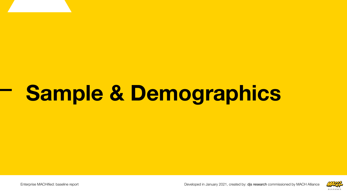# **Sample & Demographics**

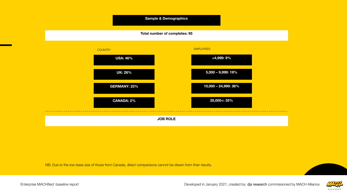

NB: Due to the low base size of those from Canada, direct comparisons cannot be drawn from their results.



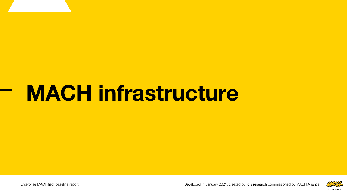## **MACH infrastructure**

Enterprise MACHified: baseline report Developed in January 2021, created by: djs research commissioned by MACH Alliance **8**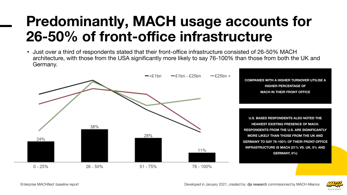### **Predominantly, MACH usage accounts for 26-50% of front-office infrastructure**

• Just over a third of respondents stated that their front-office infrastructure consisted of 26-50% MACH architecture, with those from the USA significantly more likely to say 76-100% than those from both the UK and Germany.



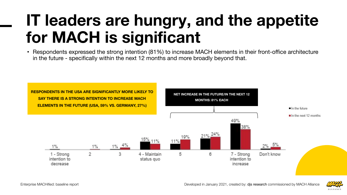### **IT leaders are hungry, and the appetite for MACH is significant**

• Respondents expressed the strong intention (81%) to increase MACH elements in their front-office architecture in the future - specifically within the next 12 months and more broadly beyond that.



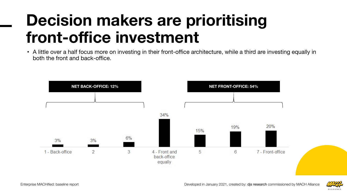### **Decision makers are prioritising front-office investment**

• A little over a half focus more on investing in their front-office architecture, while a third are investing equally in both the front and back-office.



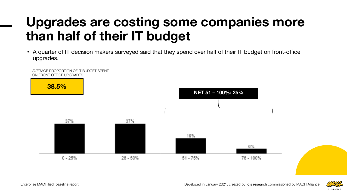### **Upgrades are costing some companies more than half of their IT budget**

• A quarter of IT decision makers surveyed said that they spend over half of their IT budget on front-office upgrades.



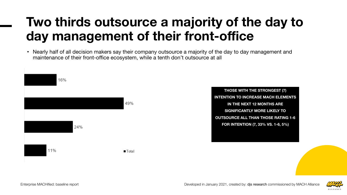### **Two thirds outsource a majority of the day to day management of their front-office**

• Nearly half of all decision makers say their company outsource a majority of the day to day management and maintenance of their front-office ecosystem, while a tenth don't outsource at all



**THOSE WITH THE STRONGEST (7) INTENTION TO INCREASE MACH ELEMENTS IN THE NEXT 12 MONTHS ARE SIGNIFICANTLY MORE LIKELY TO OUTSOURCE ALL THAN THOSE RATING 1-6 FOR INTENTION (7, 33% VS. 1-6, 5%)**

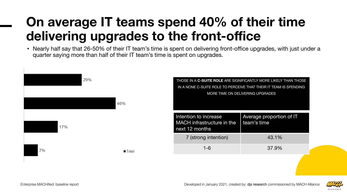### **On average IT teams spend 40% of their time delivering upgrades to the front-office**

• Nearly half say that 26-50% of their IT team's time is spent on delivering front-office upgrades, with just under a quarter saying more than half of their IT team's time is spent on upgrades.



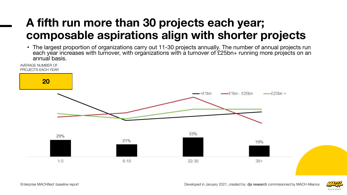#### **A fifth run more than 30 projects each year; composable aspirations align with shorter projects**

• The largest proportion of organizations carry out 11-30 projects annually. The number of annual projects run each year increases with turnover, with organizations with a turnover of £25bn+ running more projects on an annual basis.



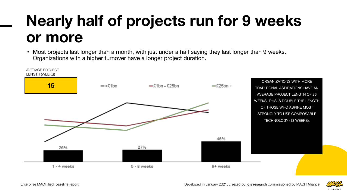### **Nearly half of projects run for 9 weeks or more**

• Most projects last longer than a month, with just under a half saying they last longer than 9 weeks. Organizations with a higher turnover have a longer project duration.



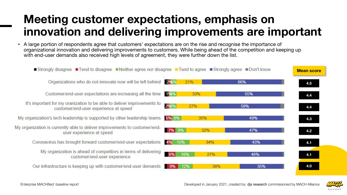#### **Meeting customer expectations, emphasis on innovation and delivering improvements are important**

• A large portion of respondents agree that customers' expectations are on the rise and recognise the importance of organizational innovation and delivering improvements to customers. While being ahead of the competition and keeping up with end-user demands also received high levels of agreement, they were further down the list.



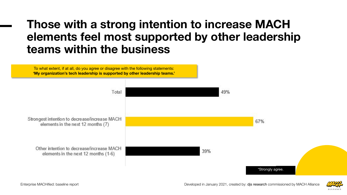#### **Those with a strong intention to increase MACH elements feel most supported by other leadership teams within the business**

To what extent, if at all, do you agree or disagree with the following statements: **'My organization's tech leadership is supported by other leadership teams.'**



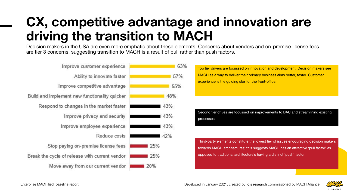### **CX, competitive advantage and innovation are driving the transition to MACH**

Decision makers in the USA are even more emphatic about these elements. Concerns about vendors and on-premise license fees are tier 3 concerns, suggesting transition to MACH is a result of pull rather than push factors.

| Improve customer experience                    |     | 63% |  |
|------------------------------------------------|-----|-----|--|
| Ability to innovate faster                     |     | 57% |  |
| Improve competitive advantage                  |     | 55% |  |
| Build and implement new functionality quicker  |     | 48% |  |
| Respond to changes in the market faster        | 43% |     |  |
| Improve privacy and security                   | 43% |     |  |
| Improve employee experience                    | 43% |     |  |
| Reduce costs                                   | 42% |     |  |
| Stop paying on-premise license fees            | 25% |     |  |
| Break the cycle of release with current vendor | 25% |     |  |
| Move away from our current vendor              | 20% |     |  |
|                                                |     |     |  |

Top tier drivers are focussed on innovation and development: Decision makers see MACH as a way to deliver their primary business aims better, faster. Customer experience is the guiding star for the front-office.

Second tier drives are focussed on improvements to BAU and streamlining existing processes.

Third-party elements constitute the lowest tier of issues encouraging decision makers towards MACH architectures; this suggests MACH has an attractive 'pull factor' as opposed to traditional architecture's having a distinct 'push' factor.

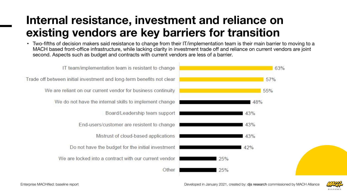#### **Internal resistance, investment and reliance on existing vendors are key barriers for transition**

• Two-fifths of decision makers said resistance to change from their IT/implementation team is their main barrier to moving to a MACH based front-office infrastructure, while lacking clarity in investment trade off and reliance on current vendors are joint second. Aspects such as budget and contracts with current vendors are less of a barrier.



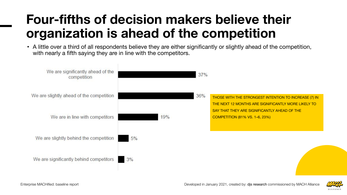### **Four-fifths of decision makers believe their organization is ahead of the competition**

• A little over a third of all respondents believe they are either significantly or slightly ahead of the competition, with nearly a fifth saying they are in line with the competitors.



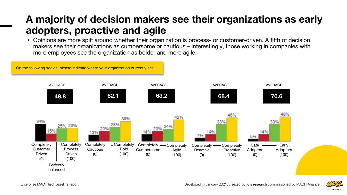#### **A majority of decision makers see their organizations as early adopters, proactive and agile**

• Opinions are more split around whether their organization is process- or customer-driven. A fifth of decision makers see their organizations as cumbersome or cautious – interestingly, those working in companies with more employees see the organization as bolder and more agile.



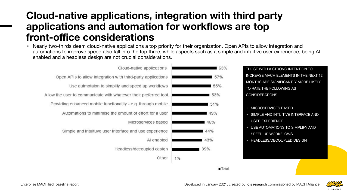#### **Cloud-native applications, integration with third party applications and automation for workflows are top front-office considerations**

• Nearly two-thirds deem cloud-native applications a top priority for their organization. Open APIs to allow integration and automations to improve speed also fall into the top three, while aspects such as a simple and intuitive user experience, being AI enabled and a headless design are not crucial considerations.

| Cloud-native applications                                        | 63% |
|------------------------------------------------------------------|-----|
| Open APIs to allow integration with third-party applications     | 57% |
| Use autmotaion to simplify and speed up workflows                | 55% |
| Allow the user to communicate with whatever their preferred tool | 53% |
| Providing enhanced mobile functionality - e.g. through mobile.   | 51% |
| Automations to minimise the amount of effort for a user          | 49% |
| Microservices based                                              | 46% |
| Simple and intuituve user interface and use experience           | 44% |
| AI enabled                                                       | 43% |
| Headless/decoupled design                                        | 39% |
| Other                                                            | 1%  |
|                                                                  |     |

THOSE WITH A STRONG INTENTION TO INCREASE MACH ELEMENTS IN THE NEXT 12 MONTHS ARE SIGNIFICANTLY MORE LIKELY TO RATE THE FOLLOWING AS CONSIDERATIONS…

- MICROSERVICES BASED
- SIMPLE AND INTUITIVE INTERFACE AND USER EXPERIENCE
- USE AUTOMATIONS TO SIMPLIFY AND SPEED UP WORKFLOWS
- HEADLESS/DECOUPLED DESIGN



 $\blacksquare$  Total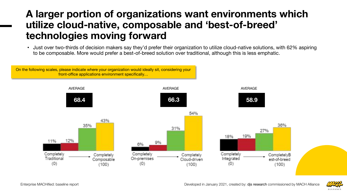#### **A larger portion of organizations want environments which utilize cloud-native, composable and 'best-of-breed' technologies moving forward**

• Just over two-thirds of decision makers say they'd prefer their organization to utilize cloud-native solutions, with 62% aspiring to be composable. More would prefer a best-of-breed solution over traditional, although this is less emphatic.



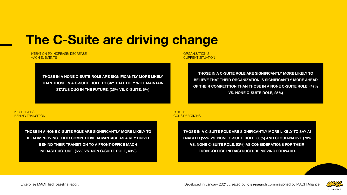#### **The C-Suite are driving change**

INTENTION TO INCREASE/ DECREASE MACH ELEMENTS

> **THOSE IN A NONE C-SUITE ROLE ARE SIGNIFICANTLY MORE LIKELY THAN THOSE IN A C-SUITE ROLE TO SAY THAT THEY WILL MAINTAIN STATUS QUO IN THE FUTURE. (25% VS. C-SUITE, 6%)**

ORGANIZATION'S CURRENT SITUATION

> **THOSE IN A C-SUITE ROLE ARE SIGNIFICANTLY MORE LIKELY TO BELIEVE THAT THEIR ORGANIZATION IS SIGNIFICANTLY MORE AHEAD OF THEIR COMPETITION THAN THOSE IN A NONE C-SUITE ROLE. (47% VS. NONE C-SUITE ROLE, 25%)**

#### KEY DRIVERS BEHIND TRANSITION

**THOSE IN A NONE C-SUITE ROLE ARE SIGNIFICANTLY MORE LIKELY TO DEEM IMPROVING THEIR COMPETITIVE ADVANTAGE AS A KEY DRIVER BEHIND THEIR TRANSITION TO A FRONT-OFFICE MACH INFRASTRUCTURE. (65% VS. NON C-SUITE ROLE, 43%)**

**FUTURE CONSIDERATIONS** 

> **THOSE IN A C-SUITE ROLE ARE SIGNIFICANTLY MORE LIKELY TO SAY AI ENABLED (55% VS. NONE C-SUITE ROLE, 30%) AND CLOUD-NATIVE (73% VS. NONE C-SUITE ROLE, 52%) AS CONSIDERATIONS FOR THEIR FRONT-OFFICE INFRASTRUCTURE MOVING FORWARD.**